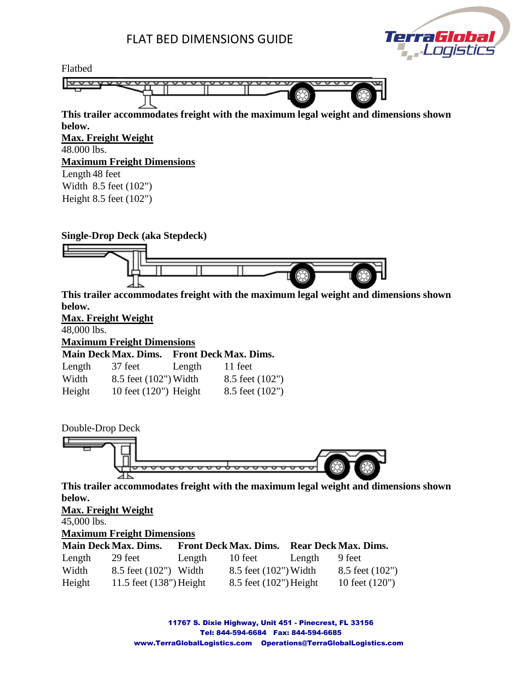## FLAT BED DIMENSIONS GUIDE





Double-Drop Deck



**This trailer accommodates freight with the maximum legal weight and dimensions shown below.**

#### **Max. Freight Weight**

45,000 lbs.

**Maximum Freight Dimensions**

|        | <b>Main Deck Max. Dims.</b> |        | <b>Front Deck Max. Dims.</b> |        | <b>Rear Deck Max. Dims.</b> |
|--------|-----------------------------|--------|------------------------------|--------|-----------------------------|
| Length | 29 feet                     | Length | 10 feet                      | Length | 9 feet                      |
| Width  | 8.5 feet (102") Width       |        | 8.5 feet (102") Width        |        | $8.5$ feet $(102")$         |
| Height | 11.5 feet $(138")$ Height   |        | $8.5$ feet $(102")$ Height   |        | 10 feet $(120")$            |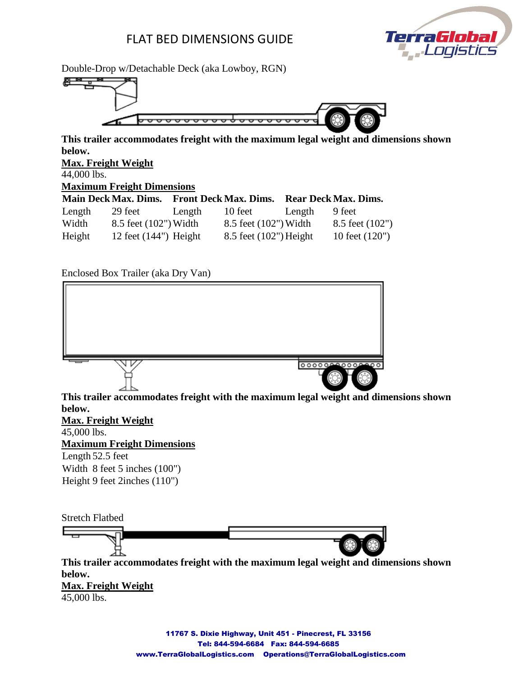### FLAT BED DIMENSIONS GUIDE



Double-Drop w/Detachable Deck (aka Lowboy, RGN)



**This trailer accommodates freight with the maximum legal weight and dimensions shown below.**

**Max. Freight Weight**

44,000 lbs.

**Maximum Freight Dimensions**

|        | <b>Main Deck Max. Dims.</b> |        | <b>Front Deck Max. Dims.</b> |        | <b>Rear Deck Max. Dims.</b> |
|--------|-----------------------------|--------|------------------------------|--------|-----------------------------|
| Length | 29 feet                     | Length | 10 feet                      | Length | 9 feet                      |
| Width  | 8.5 feet (102") Width       |        | 8.5 feet (102") Width        |        | 8.5 feet $(102")$           |
| Height | 12 feet $(144)$ Height      |        | 8.5 feet (102") Height       |        | 10 feet $(120")$            |

Enclosed Box Trailer (aka Dry Van)



45,000 lbs.